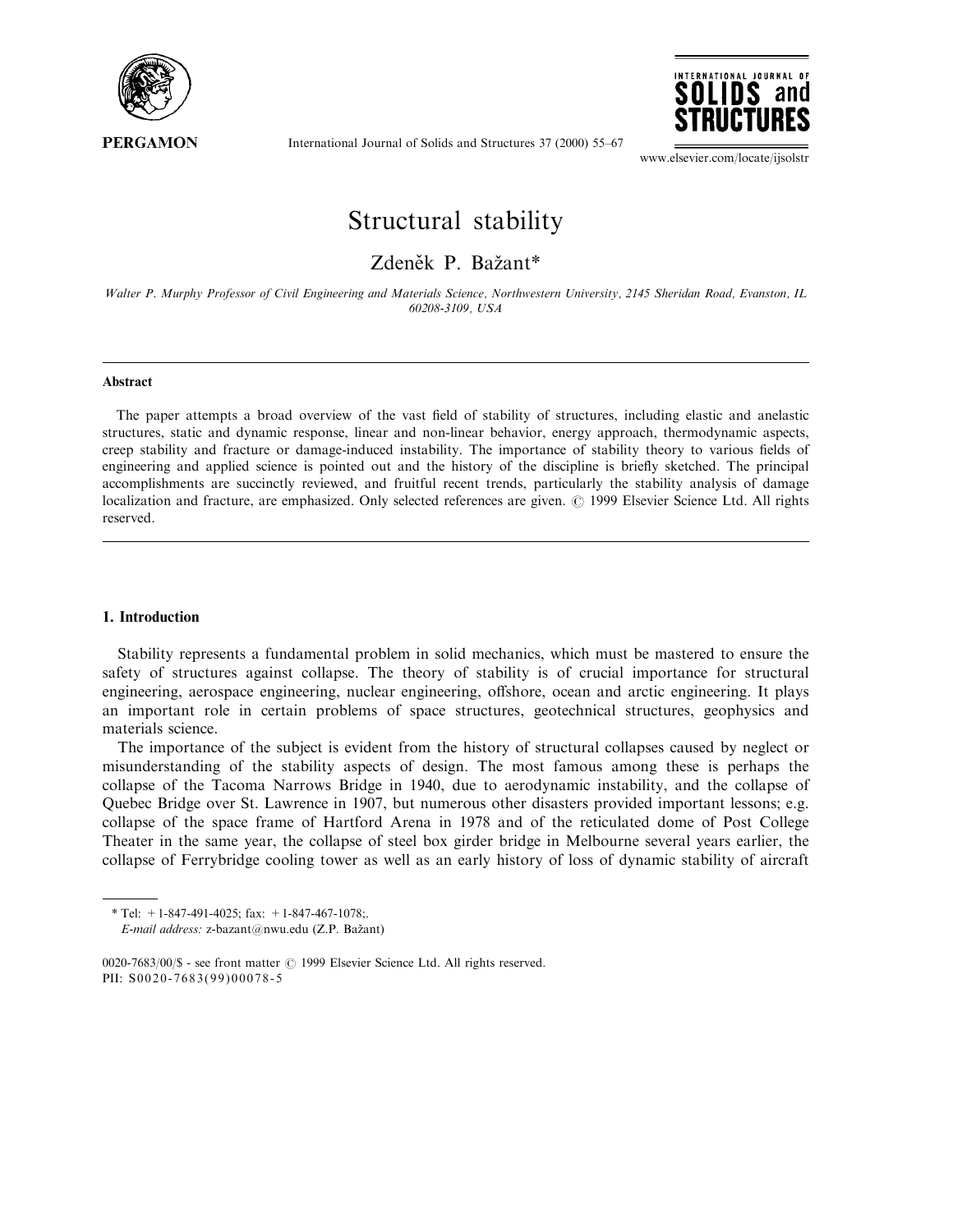

International Journal of Solids and Structures 37 (2000) 55-67



www.elsevier.com/locate/ijsolstr

# Structural stability

# Zdeněk P. Bažant\*

Walter P. Murphy Professor of Civil Engineering and Materials Science, Northwestern University, 2145 Sheridan Road, Evanston, IL 60208-3109, USA

#### Abstract

The paper attempts a broad overview of the vast field of stability of structures, including elastic and anelastic structures, static and dynamic response, linear and non-linear behavior, energy approach, thermodynamic aspects, creep stability and fracture or damage-induced instability. The importance of stability theory to various fields of engineering and applied science is pointed out and the history of the discipline is briefly sketched. The principal accomplishments are succinctly reviewed, and fruitful recent trends, particularly the stability analysis of damage localization and fracture, are emphasized. Only selected references are given.  $\odot$  1999 Elsevier Science Ltd. All rights reserved.

### 1. Introduction

Stability represents a fundamental problem in solid mechanics, which must be mastered to ensure the safety of structures against collapse. The theory of stability is of crucial importance for structural engineering, aerospace engineering, nuclear engineering, offshore, ocean and arctic engineering. It plays an important role in certain problems of space structures, geotechnical structures, geophysics and materials science.

The importance of the subject is evident from the history of structural collapses caused by neglect or misunderstanding of the stability aspects of design. The most famous among these is perhaps the collapse of the Tacoma Narrows Bridge in 1940, due to aerodynamic instability, and the collapse of Quebec Bridge over St. Lawrence in 1907, but numerous other disasters provided important lessons; e.g. collapse of the space frame of Hartford Arena in 1978 and of the reticulated dome of Post College Theater in the same year, the collapse of steel box girder bridge in Melbourne several years earlier, the collapse of Ferrybridge cooling tower as well as an early history of loss of dynamic stability of aircraft

<sup>\*</sup> Tel:  $+1-847-491-4025$ ; fax:  $+1-847-467-1078$ ;.

E-mail address: z-bazant@nwu.edu (Z.P. Bažant)

<sup>0020-7683/00/\$ -</sup> see front matter © 1999 Elsevier Science Ltd. All rights reserved. PII: S0020-7683(99)00078-5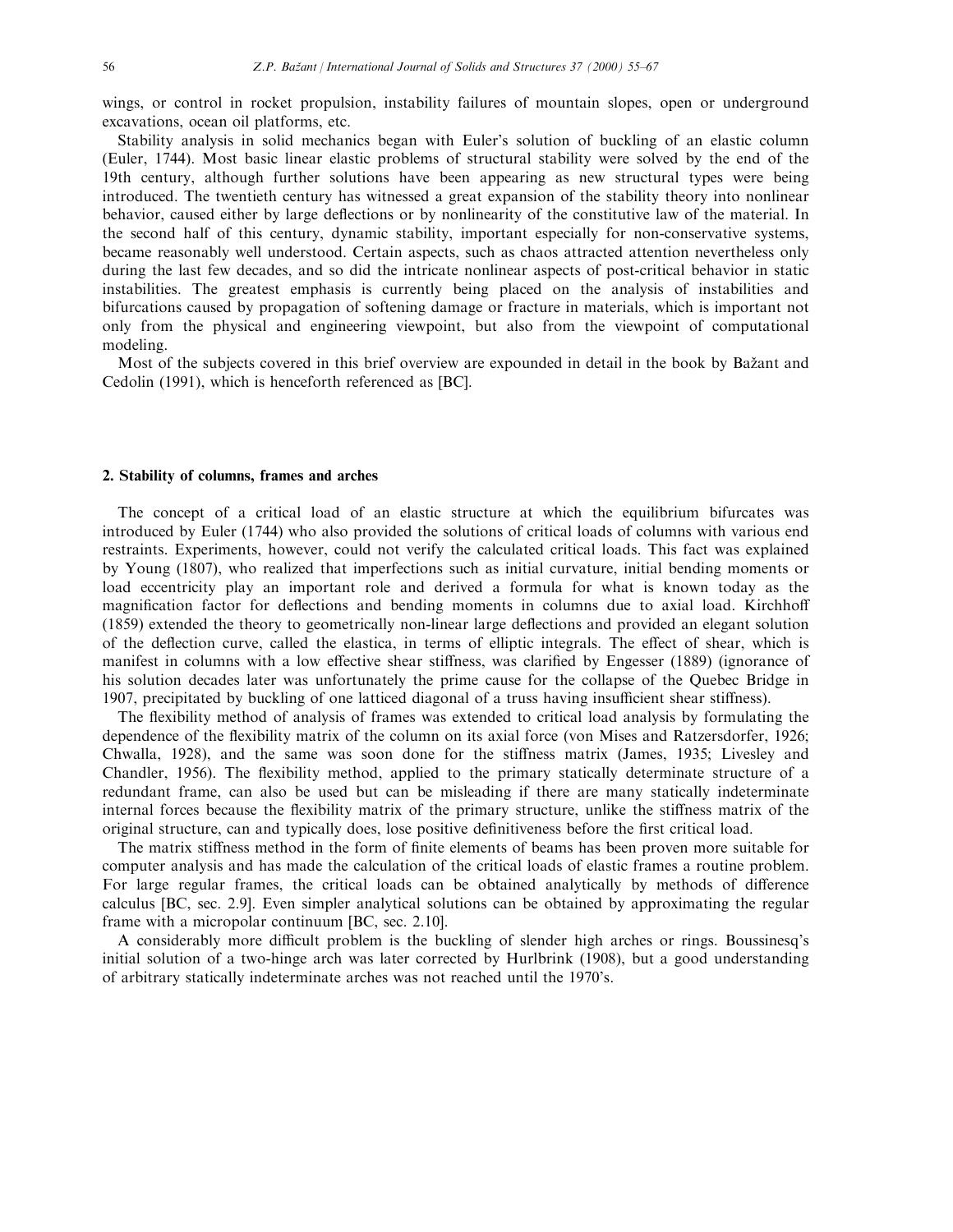wings, or control in rocket propulsion, instability failures of mountain slopes, open or underground excavations, ocean oil platforms, etc.

Stability analysis in solid mechanics began with Euler's solution of buckling of an elastic column (Euler, 1744). Most basic linear elastic problems of structural stability were solved by the end of the 19th century, although further solutions have been appearing as new structural types were being introduced. The twentieth century has witnessed a great expansion of the stability theory into nonlinear behavior, caused either by large deflections or by nonlinearity of the constitutive law of the material. In the second half of this century, dynamic stability, important especially for non-conservative systems, became reasonably well understood. Certain aspects, such as chaos attracted attention nevertheless only during the last few decades, and so did the intricate nonlinear aspects of post-critical behavior in static instabilities. The greatest emphasis is currently being placed on the analysis of instabilities and bifurcations caused by propagation of softening damage or fracture in materials, which is important not only from the physical and engineering viewpoint, but also from the viewpoint of computational modeling.

Most of the subjects covered in this brief overview are expounded in detail in the book by Bažant and Cedolin (1991), which is henceforth referenced as [BC].

#### 2. Stability of columns, frames and arches

The concept of a critical load of an elastic structure at which the equilibrium bifurcates was introduced by Euler (1744) who also provided the solutions of critical loads of columns with various end restraints. Experiments, however, could not verify the calculated critical loads. This fact was explained by Young (1807), who realized that imperfections such as initial curvature, initial bending moments or load eccentricity play an important role and derived a formula for what is known today as the magnification factor for deflections and bending moments in columns due to axial load. Kirchhoff (1859) extended the theory to geometrically non-linear large deflections and provided an elegant solution of the deflection curve, called the elastica, in terms of elliptic integrals. The effect of shear, which is manifest in columns with a low effective shear stiffness, was clarified by Engesser (1889) (ignorance of his solution decades later was unfortunately the prime cause for the collapse of the Quebec Bridge in 1907, precipitated by buckling of one latticed diagonal of a truss having insufficient shear stiffness).

The flexibility method of analysis of frames was extended to critical load analysis by formulating the dependence of the flexibility matrix of the column on its axial force (von Mises and Ratzersdorfer, 1926; Chwalla, 1928), and the same was soon done for the stiness matrix (James, 1935; Livesley and Chandler, 1956). The flexibility method, applied to the primary statically determinate structure of a redundant frame, can also be used but can be misleading if there are many statically indeterminate internal forces because the flexibility matrix of the primary structure, unlike the stiffness matrix of the original structure, can and typically does, lose positive definitiveness before the first critical load.

The matrix stiffness method in the form of finite elements of beams has been proven more suitable for computer analysis and has made the calculation of the critical loads of elastic frames a routine problem. For large regular frames, the critical loads can be obtained analytically by methods of difference calculus [BC, sec. 2.9]. Even simpler analytical solutions can be obtained by approximating the regular frame with a micropolar continuum [BC, sec. 2.10].

A considerably more difficult problem is the buckling of slender high arches or rings. Boussinesq's initial solution of a two-hinge arch was later corrected by Hurlbrink (1908), but a good understanding of arbitrary statically indeterminate arches was not reached until the 1970's.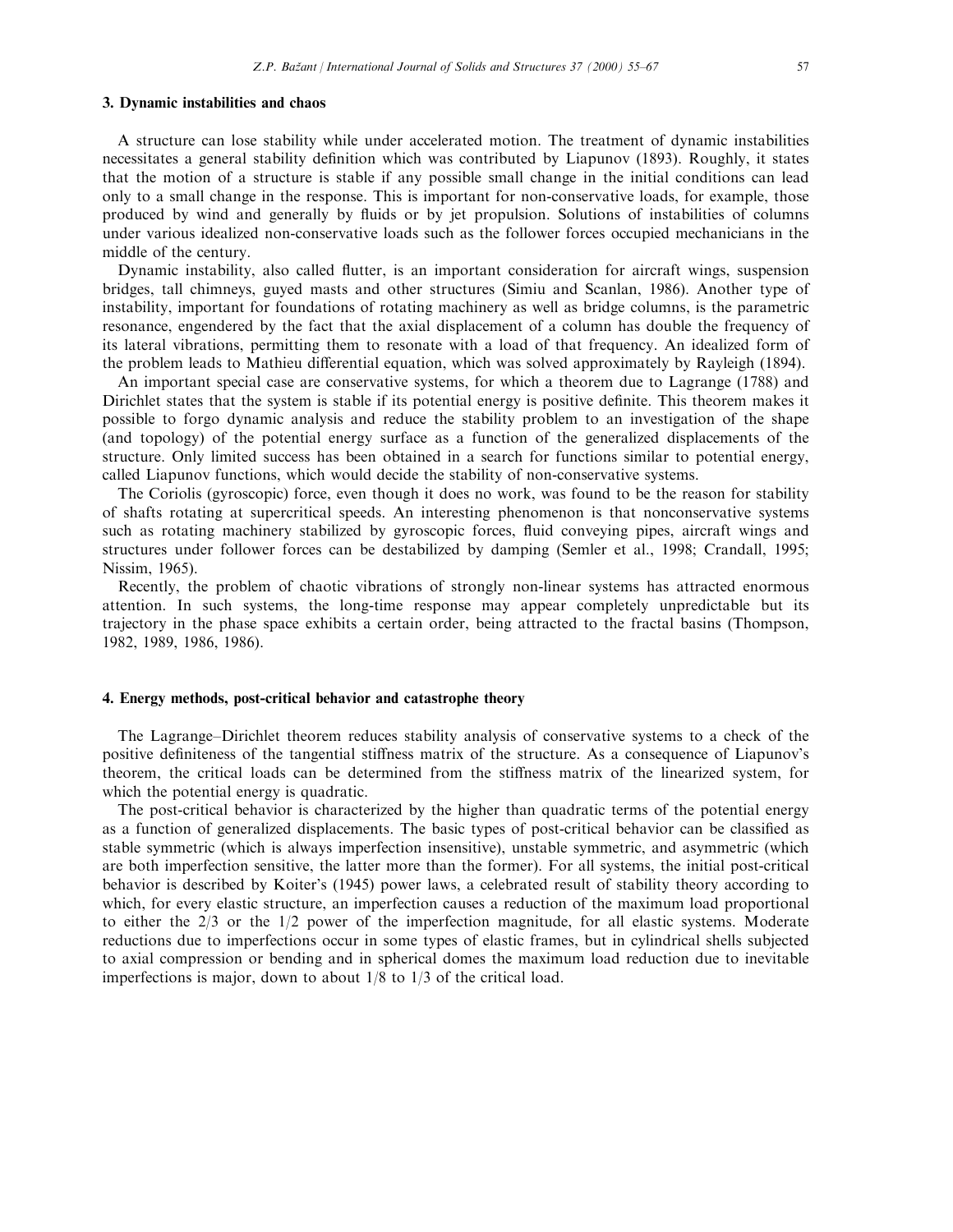#### 3. Dynamic instabilities and chaos

A structure can lose stability while under accelerated motion. The treatment of dynamic instabilities necessitates a general stability definition which was contributed by Liapunov (1893). Roughly, it states that the motion of a structure is stable if any possible small change in the initial conditions can lead only to a small change in the response. This is important for non-conservative loads, for example, those produced by wind and generally by fluids or by jet propulsion. Solutions of instabilities of columns under various idealized non-conservative loads such as the follower forces occupied mechanicians in the middle of the century.

Dynamic instability, also called flutter, is an important consideration for aircraft wings, suspension bridges, tall chimneys, guyed masts and other structures (Simiu and Scanlan, 1986). Another type of instability, important for foundations of rotating machinery as well as bridge columns, is the parametric resonance, engendered by the fact that the axial displacement of a column has double the frequency of its lateral vibrations, permitting them to resonate with a load of that frequency. An idealized form of the problem leads to Mathieu differential equation, which was solved approximately by Rayleigh (1894).

An important special case are conservative systems, for which a theorem due to Lagrange (1788) and Dirichlet states that the system is stable if its potential energy is positive definite. This theorem makes it possible to forgo dynamic analysis and reduce the stability problem to an investigation of the shape (and topology) of the potential energy surface as a function of the generalized displacements of the structure. Only limited success has been obtained in a search for functions similar to potential energy, called Liapunov functions, which would decide the stability of non-conservative systems.

The Coriolis (gyroscopic) force, even though it does no work, was found to be the reason for stability of shafts rotating at supercritical speeds. An interesting phenomenon is that nonconservative systems such as rotating machinery stabilized by gyroscopic forces, fluid conveying pipes, aircraft wings and structures under follower forces can be destabilized by damping (Semler et al., 1998; Crandall, 1995; Nissim, 1965).

Recently, the problem of chaotic vibrations of strongly non-linear systems has attracted enormous attention. In such systems, the long-time response may appear completely unpredictable but its trajectory in the phase space exhibits a certain order, being attracted to the fractal basins (Thompson, 1982, 1989, 1986, 1986).

#### 4. Energy methods, post-critical behavior and catastrophe theory

The Lagrange-Dirichlet theorem reduces stability analysis of conservative systems to a check of the positive definiteness of the tangential stiffness matrix of the structure. As a consequence of Liapunov's theorem, the critical loads can be determined from the stiness matrix of the linearized system, for which the potential energy is quadratic.

The post-critical behavior is characterized by the higher than quadratic terms of the potential energy as a function of generalized displacements. The basic types of post-critical behavior can be classified as stable symmetric (which is always imperfection insensitive), unstable symmetric, and asymmetric (which are both imperfection sensitive, the latter more than the former). For all systems, the initial post-critical behavior is described by Koiter's (1945) power laws, a celebrated result of stability theory according to which, for every elastic structure, an imperfection causes a reduction of the maximum load proportional to either the 2/3 or the 1/2 power of the imperfection magnitude, for all elastic systems. Moderate reductions due to imperfections occur in some types of elastic frames, but in cylindrical shells subjected to axial compression or bending and in spherical domes the maximum load reduction due to inevitable imperfections is major, down to about 1/8 to 1/3 of the critical load.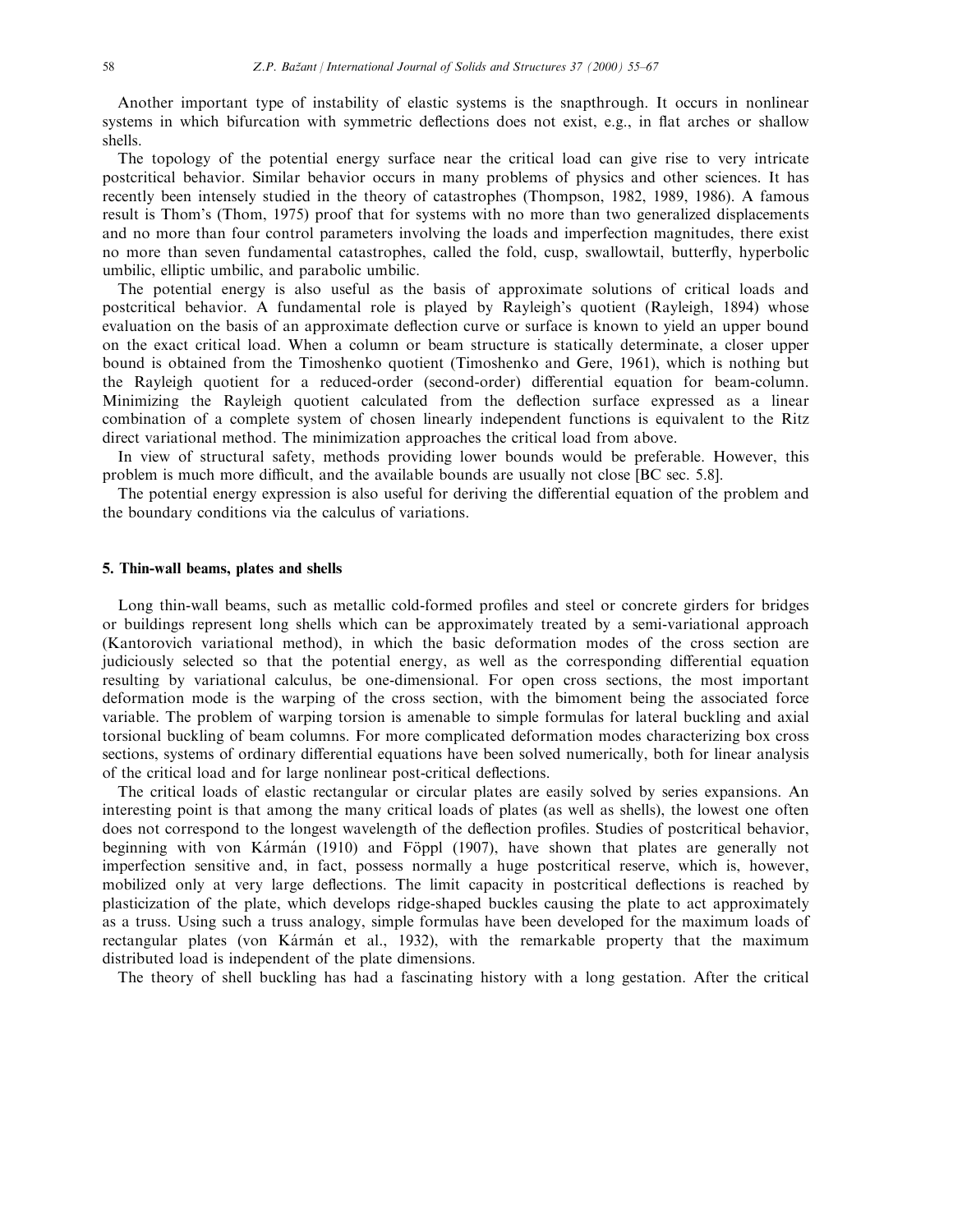Another important type of instability of elastic systems is the snapthrough. It occurs in nonlinear systems in which bifurcation with symmetric deflections does not exist, e.g., in flat arches or shallow shells.

The topology of the potential energy surface near the critical load can give rise to very intricate postcritical behavior. Similar behavior occurs in many problems of physics and other sciences. It has recently been intensely studied in the theory of catastrophes (Thompson, 1982, 1989, 1986). A famous result is Thom's (Thom, 1975) proof that for systems with no more than two generalized displacements and no more than four control parameters involving the loads and imperfection magnitudes, there exist no more than seven fundamental catastrophes, called the fold, cusp, swallowtail, butterfly, hyperbolic umbilic, elliptic umbilic, and parabolic umbilic.

The potential energy is also useful as the basis of approximate solutions of critical loads and postcritical behavior. A fundamental role is played by Rayleigh's quotient (Rayleigh, 1894) whose evaluation on the basis of an approximate deflection curve or surface is known to yield an upper bound on the exact critical load. When a column or beam structure is statically determinate, a closer upper bound is obtained from the Timoshenko quotient (Timoshenko and Gere, 1961), which is nothing but the Rayleigh quotient for a reduced-order (second-order) differential equation for beam-column. Minimizing the Rayleigh quotient calculated from the deflection surface expressed as a linear combination of a complete system of chosen linearly independent functions is equivalent to the Ritz direct variational method. The minimization approaches the critical load from above.

In view of structural safety, methods providing lower bounds would be preferable. However, this problem is much more difficult, and the available bounds are usually not close [BC sec. 5.8].

The potential energy expression is also useful for deriving the differential equation of the problem and the boundary conditions via the calculus of variations.

#### 5. Thin-wall beams, plates and shells

Long thin-wall beams, such as metallic cold-formed profiles and steel or concrete girders for bridges or buildings represent long shells which can be approximately treated by a semi-variational approach (Kantorovich variational method), in which the basic deformation modes of the cross section are judiciously selected so that the potential energy, as well as the corresponding differential equation resulting by variational calculus, be one-dimensional. For open cross sections, the most important deformation mode is the warping of the cross section, with the bimoment being the associated force variable. The problem of warping torsion is amenable to simple formulas for lateral buckling and axial torsional buckling of beam columns. For more complicated deformation modes characterizing box cross sections, systems of ordinary differential equations have been solved numerically, both for linear analysis of the critical load and for large nonlinear post-critical deflections.

The critical loads of elastic rectangular or circular plates are easily solved by series expansions. An interesting point is that among the many critical loads of plates (as well as shells), the lowest one often does not correspond to the longest wavelength of the deflection profiles. Studies of postcritical behavior, beginning with von Kármán (1910) and Föppl (1907), have shown that plates are generally not imperfection sensitive and, in fact, possess normally a huge postcritical reserve, which is, however, mobilized only at very large deflections. The limit capacity in postcritical deflections is reached by plasticization of the plate, which develops ridge-shaped buckles causing the plate to act approximately as a truss. Using such a truss analogy, simple formulas have been developed for the maximum loads of rectangular plates (von Kármán et al., 1932), with the remarkable property that the maximum distributed load is independent of the plate dimensions.

The theory of shell buckling has had a fascinating history with a long gestation. After the critical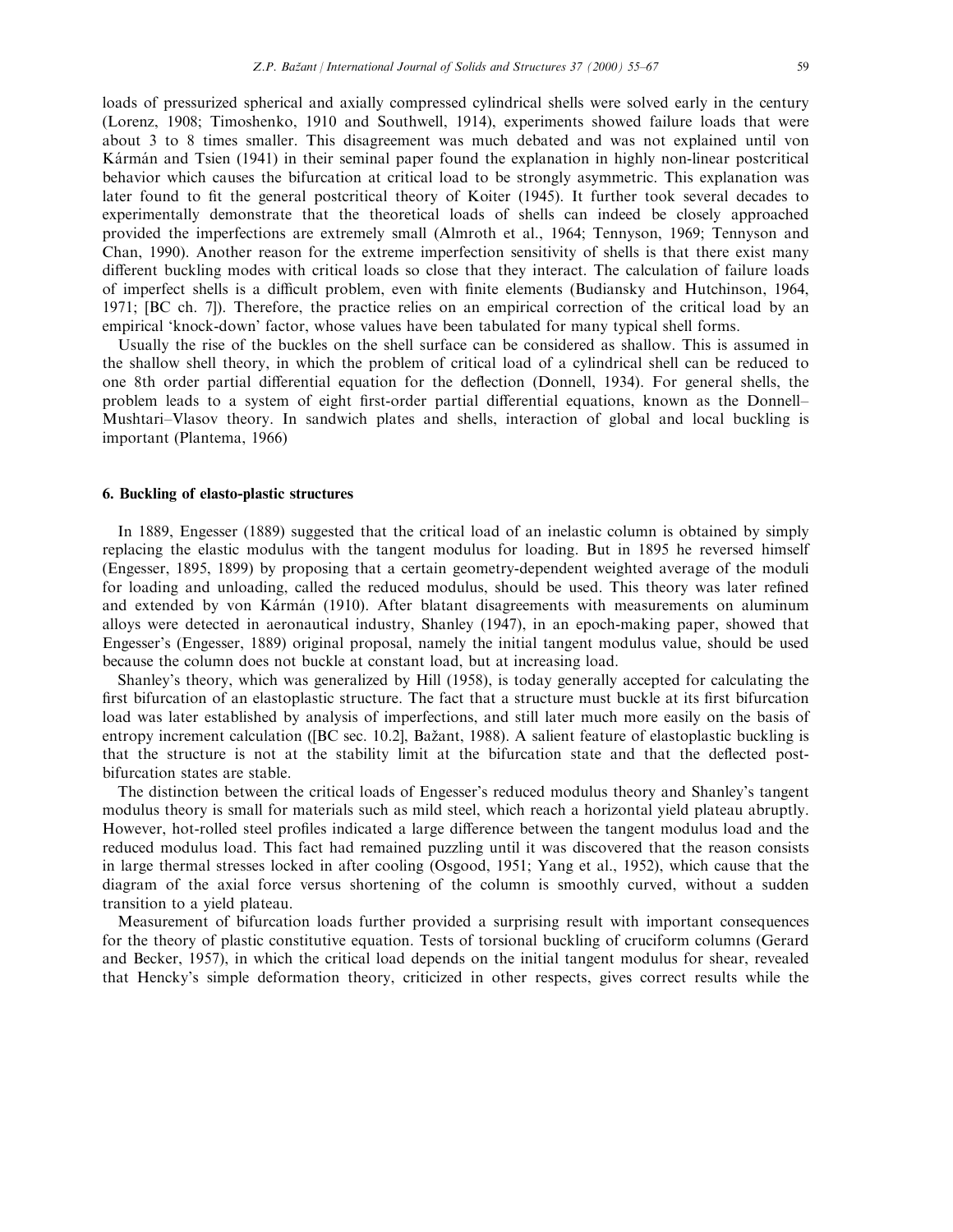loads of pressurized spherical and axially compressed cylindrical shells were solved early in the century (Lorenz, 1908; Timoshenko, 1910 and Southwell, 1914), experiments showed failure loads that were about 3 to 8 times smaller. This disagreement was much debated and was not explained until von Karman and Tsien (1941) in their seminal paper found the explanation in highly non-linear postcritical behavior which causes the bifurcation at critical load to be strongly asymmetric. This explanation was later found to fit the general postcritical theory of Koiter (1945). It further took several decades to experimentally demonstrate that the theoretical loads of shells can indeed be closely approached provided the imperfections are extremely small (Almroth et al., 1964; Tennyson, 1969; Tennyson and Chan, 1990). Another reason for the extreme imperfection sensitivity of shells is that there exist many different buckling modes with critical loads so close that they interact. The calculation of failure loads of imperfect shells is a difficult problem, even with finite elements (Budiansky and Hutchinson, 1964, 1971; [BC ch. 7]). Therefore, the practice relies on an empirical correction of the critical load by an empirical 'knock-down' factor, whose values have been tabulated for many typical shell forms.

Usually the rise of the buckles on the shell surface can be considered as shallow. This is assumed in the shallow shell theory, in which the problem of critical load of a cylindrical shell can be reduced to one 8th order partial differential equation for the deflection (Donnell, 1934). For general shells, the problem leads to a system of eight first-order partial differential equations, known as the Donnell-Mushtari–Vlasov theory. In sandwich plates and shells, interaction of global and local buckling is important (Plantema, 1966)

#### 6. Buckling of elasto-plastic structures

In 1889, Engesser (1889) suggested that the critical load of an inelastic column is obtained by simply replacing the elastic modulus with the tangent modulus for loading. But in 1895 he reversed himself (Engesser, 1895, 1899) by proposing that a certain geometry-dependent weighted average of the moduli for loading and unloading, called the reduced modulus, should be used. This theory was later refined and extended by von Kármán (1910). After blatant disagreements with measurements on aluminum alloys were detected in aeronautical industry, Shanley (1947), in an epoch-making paper, showed that Engesser's (Engesser, 1889) original proposal, namely the initial tangent modulus value, should be used because the column does not buckle at constant load, but at increasing load.

Shanley's theory, which was generalized by Hill (1958), is today generally accepted for calculating the first bifurcation of an elastoplastic structure. The fact that a structure must buckle at its first bifurcation load was later established by analysis of imperfections, and still later much more easily on the basis of entropy increment calculation ([BC sec. 10.2], Bažant, 1988). A salient feature of elastoplastic buckling is that the structure is not at the stability limit at the bifurcation state and that the deflected postbifurcation states are stable.

The distinction between the critical loads of Engesser's reduced modulus theory and Shanley's tangent modulus theory is small for materials such as mild steel, which reach a horizontal yield plateau abruptly. However, hot-rolled steel profiles indicated a large difference between the tangent modulus load and the reduced modulus load. This fact had remained puzzling until it was discovered that the reason consists in large thermal stresses locked in after cooling (Osgood, 1951; Yang et al., 1952), which cause that the diagram of the axial force versus shortening of the column is smoothly curved, without a sudden transition to a yield plateau.

Measurement of bifurcation loads further provided a surprising result with important consequences for the theory of plastic constitutive equation. Tests of torsional buckling of cruciform columns (Gerard and Becker, 1957), in which the critical load depends on the initial tangent modulus for shear, revealed that Hencky's simple deformation theory, criticized in other respects, gives correct results while the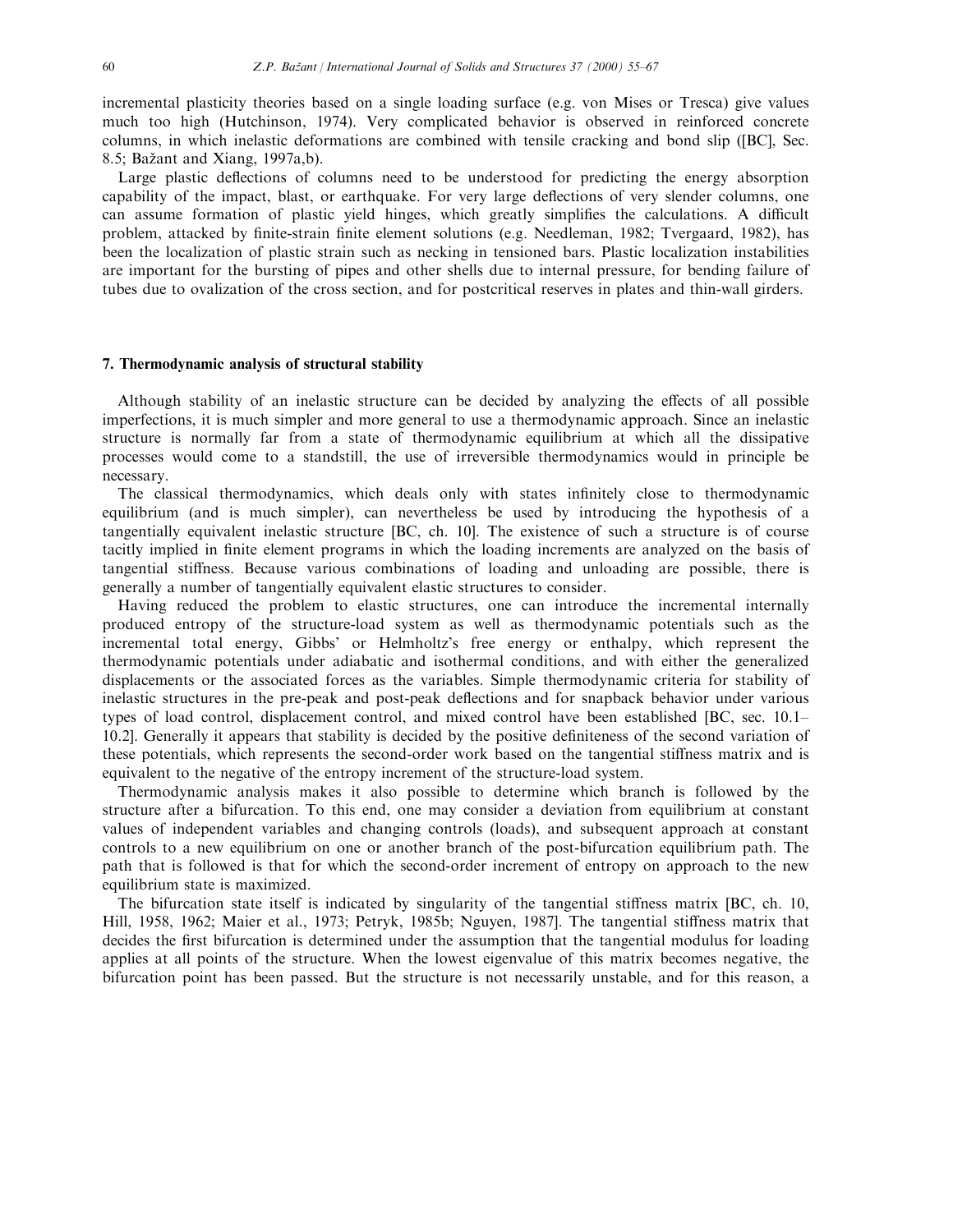incremental plasticity theories based on a single loading surface (e.g. von Mises or Tresca) give values much too high (Hutchinson, 1974). Very complicated behavior is observed in reinforced concrete columns, in which inelastic deformations are combined with tensile cracking and bond slip ([BC], Sec. 8.5; Bažant and Xiang,  $1997a$ , b).

Large plastic deflections of columns need to be understood for predicting the energy absorption capability of the impact, blast, or earthquake. For very large deflections of very slender columns, one can assume formation of plastic yield hinges, which greatly simplifies the calculations. A difficult problem, attacked by finite-strain finite element solutions (e.g. Needleman, 1982; Tvergaard, 1982), has been the localization of plastic strain such as necking in tensioned bars. Plastic localization instabilities are important for the bursting of pipes and other shells due to internal pressure, for bending failure of tubes due to ovalization of the cross section, and for postcritical reserves in plates and thin-wall girders.

#### 7. Thermodynamic analysis of structural stability

Although stability of an inelastic structure can be decided by analyzing the effects of all possible imperfections, it is much simpler and more general to use a thermodynamic approach. Since an inelastic structure is normally far from a state of thermodynamic equilibrium at which all the dissipative processes would come to a standstill, the use of irreversible thermodynamics would in principle be necessary.

The classical thermodynamics, which deals only with states infinitely close to thermodynamic equilibrium (and is much simpler), can nevertheless be used by introducing the hypothesis of a tangentially equivalent inelastic structure [BC, ch. 10]. The existence of such a structure is of course tacitly implied in finite element programs in which the loading increments are analyzed on the basis of tangential stiness. Because various combinations of loading and unloading are possible, there is generally a number of tangentially equivalent elastic structures to consider.

Having reduced the problem to elastic structures, one can introduce the incremental internally produced entropy of the structure-load system as well as thermodynamic potentials such as the incremental total energy, Gibbs' or Helmholtz's free energy or enthalpy, which represent the thermodynamic potentials under adiabatic and isothermal conditions, and with either the generalized displacements or the associated forces as the variables. Simple thermodynamic criteria for stability of inelastic structures in the pre-peak and post-peak deflections and for snapback behavior under various types of load control, displacement control, and mixed control have been established [BC, sec. 10.1– 10.2]. Generally it appears that stability is decided by the positive definiteness of the second variation of these potentials, which represents the second-order work based on the tangential stiffness matrix and is equivalent to the negative of the entropy increment of the structure-load system.

Thermodynamic analysis makes it also possible to determine which branch is followed by the structure after a bifurcation. To this end, one may consider a deviation from equilibrium at constant values of independent variables and changing controls (loads), and subsequent approach at constant controls to a new equilibrium on one or another branch of the post-bifurcation equilibrium path. The path that is followed is that for which the second-order increment of entropy on approach to the new equilibrium state is maximized.

The bifurcation state itself is indicated by singularity of the tangential stiffness matrix [BC, ch. 10, Hill, 1958, 1962; Maier et al., 1973; Petryk, 1985b; Nguyen, 1987]. The tangential stiffness matrix that decides the first bifurcation is determined under the assumption that the tangential modulus for loading applies at all points of the structure. When the lowest eigenvalue of this matrix becomes negative, the bifurcation point has been passed. But the structure is not necessarily unstable, and for this reason, a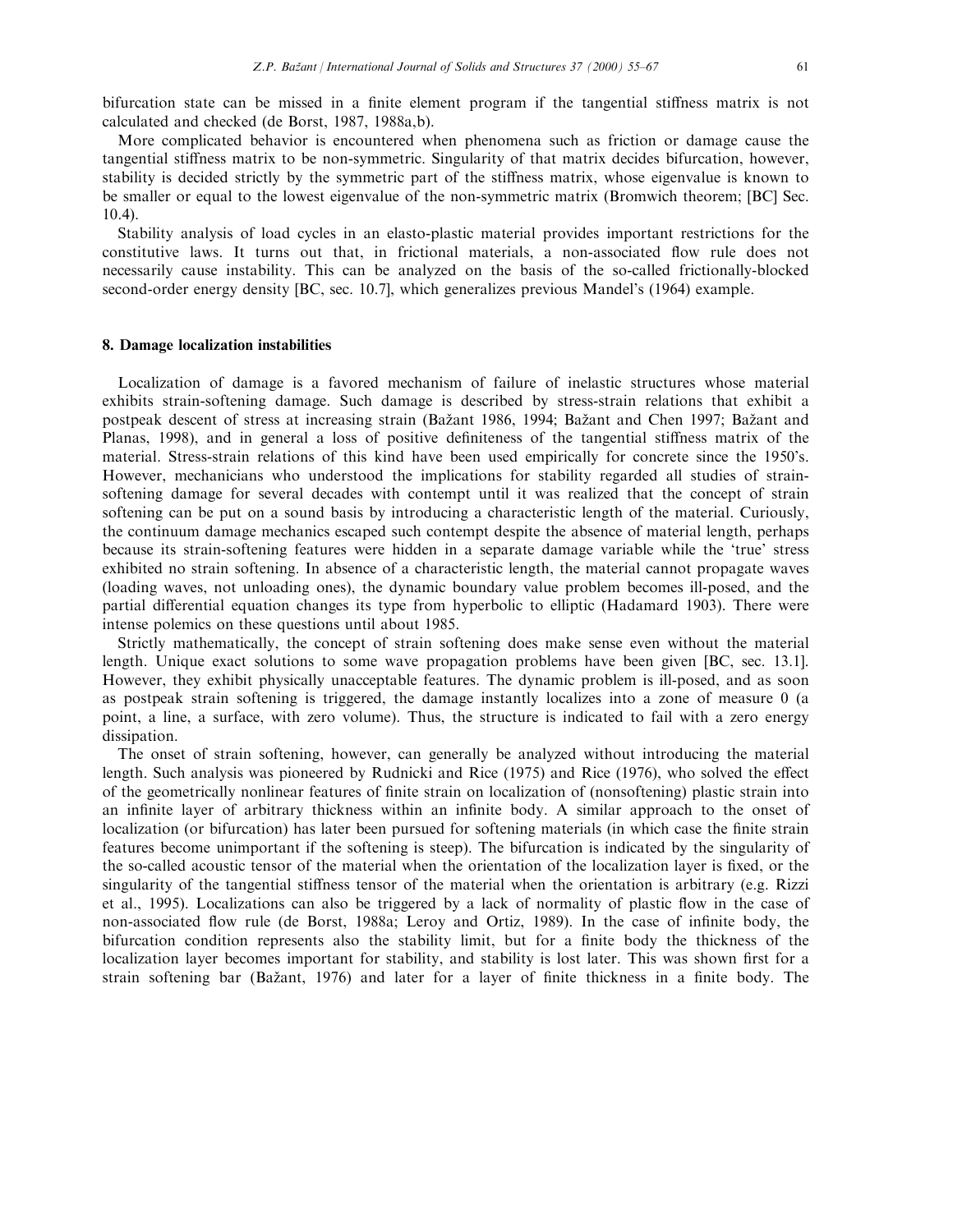bifurcation state can be missed in a finite element program if the tangential stiffness matrix is not calculated and checked (de Borst, 1987, 1988a,b).

More complicated behavior is encountered when phenomena such as friction or damage cause the tangential stiness matrix to be non-symmetric. Singularity of that matrix decides bifurcation, however, stability is decided strictly by the symmetric part of the stiffness matrix, whose eigenvalue is known to be smaller or equal to the lowest eigenvalue of the non-symmetric matrix (Bromwich theorem; [BC] Sec. 10.4).

Stability analysis of load cycles in an elasto-plastic material provides important restrictions for the constitutive laws. It turns out that, in frictional materials, a non-associated flow rule does not necessarily cause instability. This can be analyzed on the basis of the so-called frictionally-blocked second-order energy density [BC, sec. 10.7], which generalizes previous Mandel's (1964) example.

#### 8. Damage localization instabilities

Localization of damage is a favored mechanism of failure of inelastic structures whose material exhibits strain-softening damage. Such damage is described by stress-strain relations that exhibit a postpeak descent of stress at increasing strain (Bažant 1986, 1994; Bažant and Chen 1997; Bažant and Planas, 1998), and in general a loss of positive definiteness of the tangential stiffness matrix of the material. Stress-strain relations of this kind have been used empirically for concrete since the 1950's. However, mechanicians who understood the implications for stability regarded all studies of strainsoftening damage for several decades with contempt until it was realized that the concept of strain softening can be put on a sound basis by introducing a characteristic length of the material. Curiously, the continuum damage mechanics escaped such contempt despite the absence of material length, perhaps because its strain-softening features were hidden in a separate damage variable while the `true' stress exhibited no strain softening. In absence of a characteristic length, the material cannot propagate waves (loading waves, not unloading ones), the dynamic boundary value problem becomes ill-posed, and the partial differential equation changes its type from hyperbolic to elliptic (Hadamard 1903). There were intense polemics on these questions until about 1985.

Strictly mathematically, the concept of strain softening does make sense even without the material length. Unique exact solutions to some wave propagation problems have been given [BC, sec. 13.1]. However, they exhibit physically unacceptable features. The dynamic problem is ill-posed, and as soon as postpeak strain softening is triggered, the damage instantly localizes into a zone of measure 0 (a point, a line, a surface, with zero volume). Thus, the structure is indicated to fail with a zero energy dissipation.

The onset of strain softening, however, can generally be analyzed without introducing the material length. Such analysis was pioneered by Rudnicki and Rice (1975) and Rice (1976), who solved the effect of the geometrically nonlinear features of finite strain on localization of (nonsoftening) plastic strain into an infinite layer of arbitrary thickness within an infinite body. A similar approach to the onset of localization (or bifurcation) has later been pursued for softening materials (in which case the finite strain features become unimportant if the softening is steep). The bifurcation is indicated by the singularity of the so-called acoustic tensor of the material when the orientation of the localization layer is fixed, or the singularity of the tangential stiffness tensor of the material when the orientation is arbitrary (e.g. Rizzi et al., 1995). Localizations can also be triggered by a lack of normality of plastic flow in the case of non-associated flow rule (de Borst, 1988a; Leroy and Ortiz, 1989). In the case of infinite body, the bifurcation condition represents also the stability limit, but for a finite body the thickness of the localization layer becomes important for stability, and stability is lost later. This was shown first for a strain softening bar (Bažant, 1976) and later for a layer of finite thickness in a finite body. The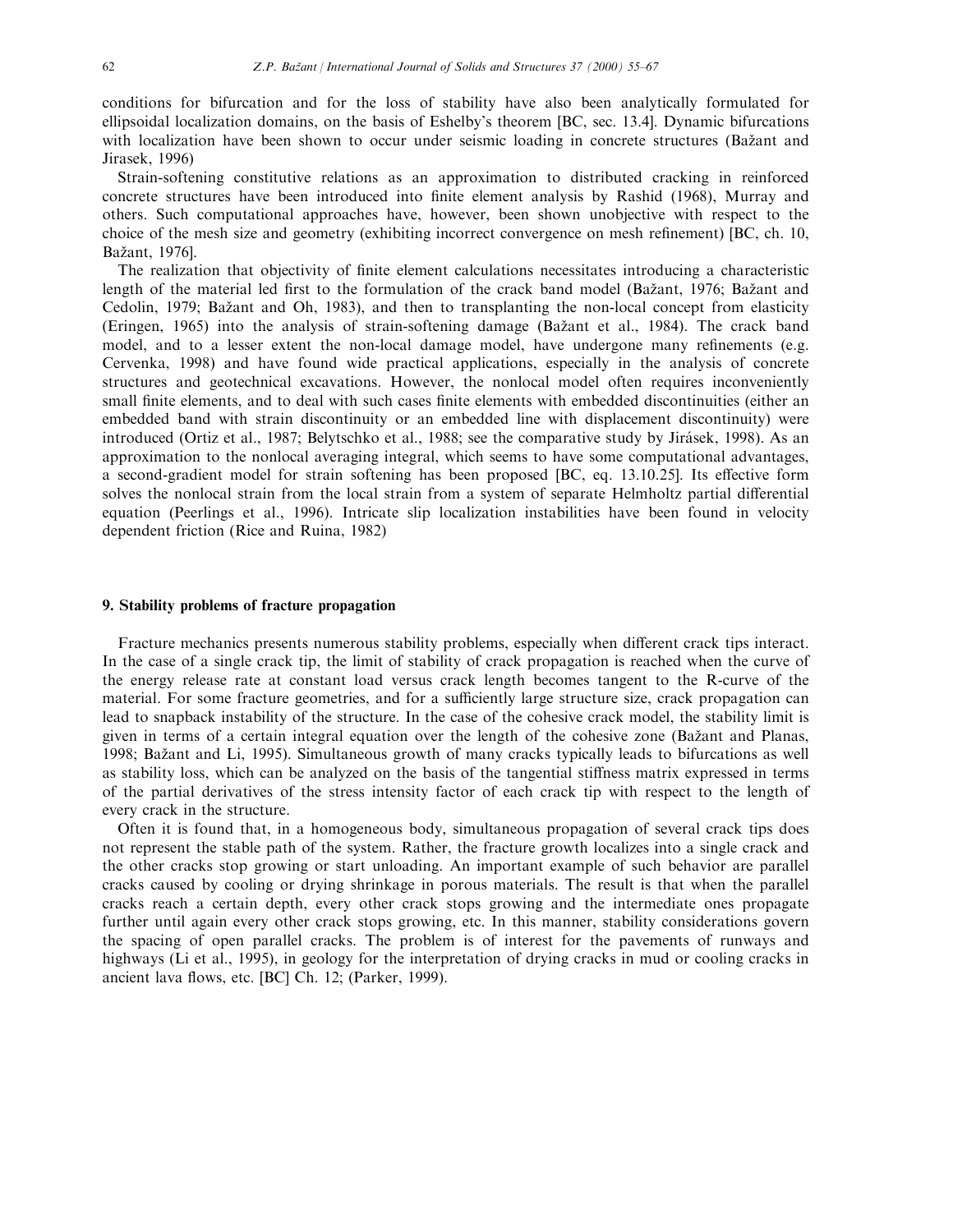conditions for bifurcation and for the loss of stability have also been analytically formulated for ellipsoidal localization domains, on the basis of Eshelby's theorem [BC, sec. 13.4]. Dynamic bifurcations with localization have been shown to occur under seismic loading in concrete structures (Bažant and Jirasek, 1996)

Strain-softening constitutive relations as an approximation to distributed cracking in reinforced concrete structures have been introduced into finite element analysis by Rashid (1968), Murray and others. Such computational approaches have, however, been shown unobjective with respect to the choice of the mesh size and geometry (exhibiting incorrect convergence on mesh refinement) [BC, ch. 10, Bažant, 1976].

The realization that objectivity of finite element calculations necessitates introducing a characteristic length of the material led first to the formulation of the crack band model (Bažant, 1976; Bažant and Cedolin, 1979; Bažant and Oh, 1983), and then to transplanting the non-local concept from elasticity (Eringen, 1965) into the analysis of strain-softening damage (Bažant et al., 1984). The crack band model, and to a lesser extent the non-local damage model, have undergone many refinements (e.g. Cervenka, 1998) and have found wide practical applications, especially in the analysis of concrete structures and geotechnical excavations. However, the nonlocal model often requires inconveniently small finite elements, and to deal with such cases finite elements with embedded discontinuities (either an embedded band with strain discontinuity or an embedded line with displacement discontinuity) were introduced (Ortiz et al., 1987; Belytschko et al., 1988; see the comparative study by Jirásek, 1998). As an approximation to the nonlocal averaging integral, which seems to have some computational advantages, a second-gradient model for strain softening has been proposed [BC, eq. 13.10.25]. Its effective form solves the nonlocal strain from the local strain from a system of separate Helmholtz partial differential equation (Peerlings et al., 1996). Intricate slip localization instabilities have been found in velocity dependent friction (Rice and Ruina, 1982)

#### 9. Stability problems of fracture propagation

Fracture mechanics presents numerous stability problems, especially when different crack tips interact. In the case of a single crack tip, the limit of stability of crack propagation is reached when the curve of the energy release rate at constant load versus crack length becomes tangent to the R-curve of the material. For some fracture geometries, and for a sufficiently large structure size, crack propagation can lead to snapback instability of the structure. In the case of the cohesive crack model, the stability limit is given in terms of a certain integral equation over the length of the cohesive zone (Bažant and Planas, 1998; Bažant and Li, 1995). Simultaneous growth of many cracks typically leads to bifurcations as well as stability loss, which can be analyzed on the basis of the tangential stiffness matrix expressed in terms of the partial derivatives of the stress intensity factor of each crack tip with respect to the length of every crack in the structure.

Often it is found that, in a homogeneous body, simultaneous propagation of several crack tips does not represent the stable path of the system. Rather, the fracture growth localizes into a single crack and the other cracks stop growing or start unloading. An important example of such behavior are parallel cracks caused by cooling or drying shrinkage in porous materials. The result is that when the parallel cracks reach a certain depth, every other crack stops growing and the intermediate ones propagate further until again every other crack stops growing, etc. In this manner, stability considerations govern the spacing of open parallel cracks. The problem is of interest for the pavements of runways and highways (Li et al., 1995), in geology for the interpretation of drying cracks in mud or cooling cracks in ancient lava flows, etc. [BC] Ch. 12; (Parker, 1999).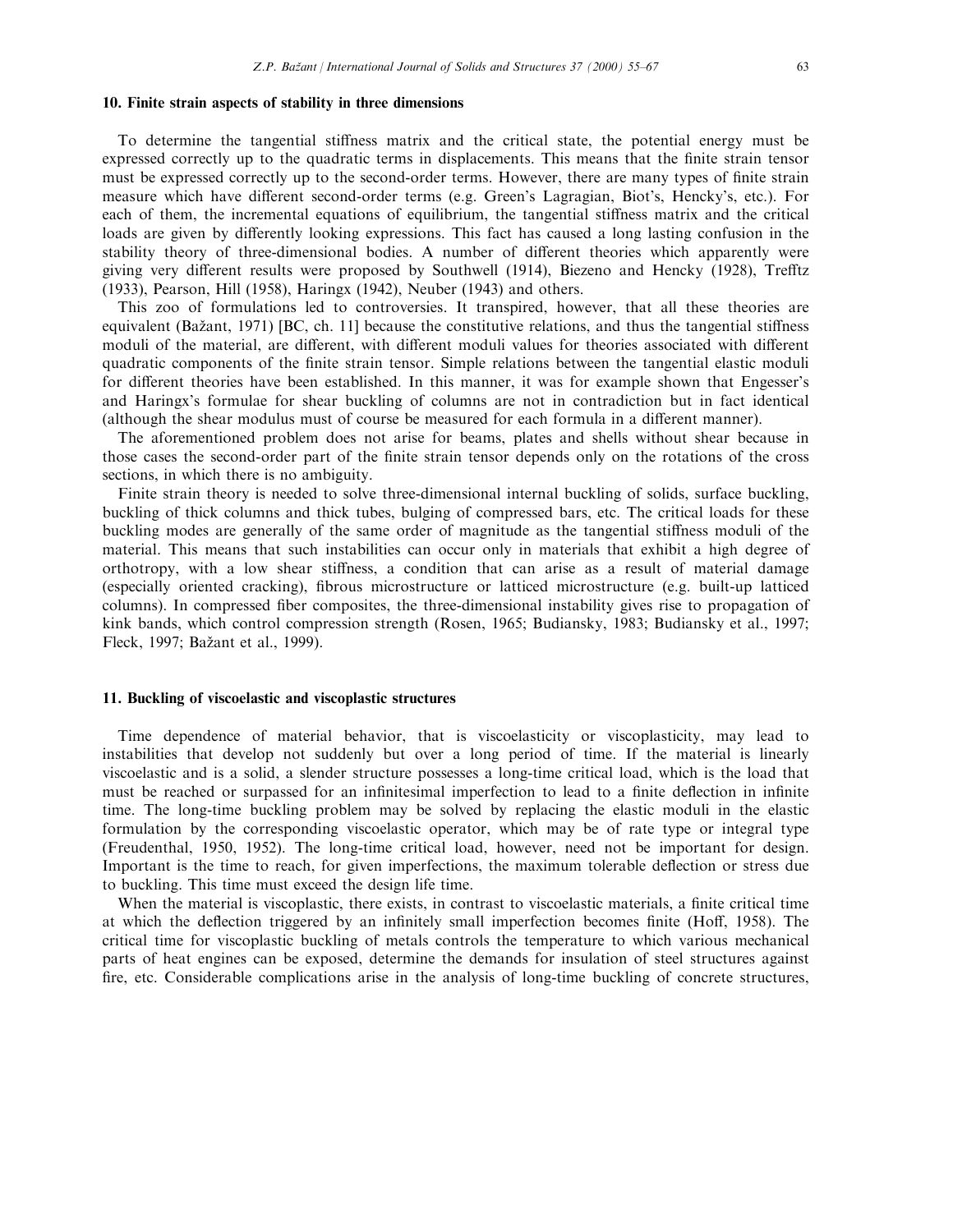## 10. Finite strain aspects of stability in three dimensions

To determine the tangential stiffness matrix and the critical state, the potential energy must be expressed correctly up to the quadratic terms in displacements. This means that the finite strain tensor must be expressed correctly up to the second-order terms. However, there are many types of finite strain measure which have different second-order terms (e.g. Green's Lagragian, Biot's, Hencky's, etc.). For each of them, the incremental equations of equilibrium, the tangential stiffness matrix and the critical loads are given by differently looking expressions. This fact has caused a long lasting confusion in the stability theory of three-dimensional bodies. A number of different theories which apparently were giving very different results were proposed by Southwell (1914), Biezeno and Hencky (1928), Trefftz (1933), Pearson, Hill (1958), Haringx (1942), Neuber (1943) and others.

This zoo of formulations led to controversies. It transpired, however, that all these theories are equivalent (Bažant, 1971) [BC, ch. 11] because the constitutive relations, and thus the tangential stiffness moduli of the material, are different, with different moduli values for theories associated with different quadratic components of the finite strain tensor. Simple relations between the tangential elastic moduli for different theories have been established. In this manner, it was for example shown that Engesser's and Haringx's formulae for shear buckling of columns are not in contradiction but in fact identical (although the shear modulus must of course be measured for each formula in a different manner).

The aforementioned problem does not arise for beams, plates and shells without shear because in those cases the second-order part of the finite strain tensor depends only on the rotations of the cross sections, in which there is no ambiguity.

Finite strain theory is needed to solve three-dimensional internal buckling of solids, surface buckling, buckling of thick columns and thick tubes, bulging of compressed bars, etc. The critical loads for these buckling modes are generally of the same order of magnitude as the tangential stiffness moduli of the material. This means that such instabilities can occur only in materials that exhibit a high degree of orthotropy, with a low shear stiffness, a condition that can arise as a result of material damage (especially oriented cracking), fibrous microstructure or latticed microstructure (e.g. built-up latticed columns). In compressed fiber composites, the three-dimensional instability gives rise to propagation of kink bands, which control compression strength (Rosen, 1965; Budiansky, 1983; Budiansky et al., 1997; Fleck, 1997; Bažant et al., 1999).

#### 11. Buckling of viscoelastic and viscoplastic structures

Time dependence of material behavior, that is viscoelasticity or viscoplasticity, may lead to instabilities that develop not suddenly but over a long period of time. If the material is linearly viscoelastic and is a solid, a slender structure possesses a long-time critical load, which is the load that must be reached or surpassed for an infinitesimal imperfection to lead to a finite deflection in infinite time. The long-time buckling problem may be solved by replacing the elastic moduli in the elastic formulation by the corresponding viscoelastic operator, which may be of rate type or integral type (Freudenthal, 1950, 1952). The long-time critical load, however, need not be important for design. Important is the time to reach, for given imperfections, the maximum tolerable deflection or stress due to buckling. This time must exceed the design life time.

When the material is viscoplastic, there exists, in contrast to viscoelastic materials, a finite critical time at which the deflection triggered by an infinitely small imperfection becomes finite (Hoff, 1958). The critical time for viscoplastic buckling of metals controls the temperature to which various mechanical parts of heat engines can be exposed, determine the demands for insulation of steel structures against fire, etc. Considerable complications arise in the analysis of long-time buckling of concrete structures,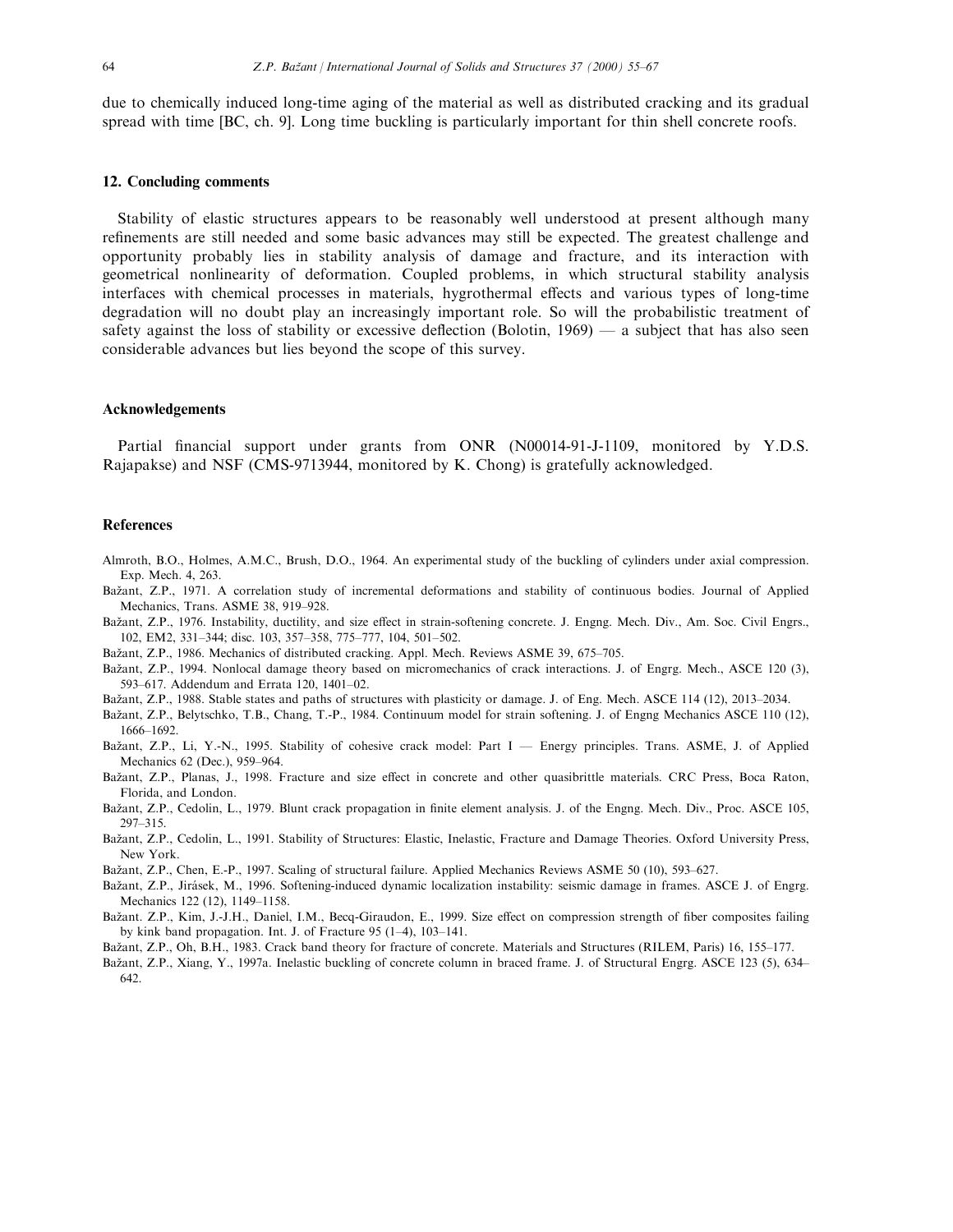due to chemically induced long-time aging of the material as well as distributed cracking and its gradual spread with time [BC, ch. 9]. Long time buckling is particularly important for thin shell concrete roofs.

#### 12. Concluding comments

Stability of elastic structures appears to be reasonably well understood at present although many refinements are still needed and some basic advances may still be expected. The greatest challenge and opportunity probably lies in stability analysis of damage and fracture, and its interaction with geometrical nonlinearity of deformation. Coupled problems, in which structural stability analysis interfaces with chemical processes in materials, hygrothermal effects and various types of long-time degradation will no doubt play an increasingly important role. So will the probabilistic treatment of safety against the loss of stability or excessive deflection (Bolotin,  $1969$ )  $-$  a subject that has also seen considerable advances but lies beyond the scope of this survey.

#### Acknowledgements

Partial financial support under grants from ONR (N00014-91-J-1109, monitored by Y.D.S. Rajapakse) and NSF (CMS-9713944, monitored by K. Chong) is gratefully acknowledged.

#### References

- Almroth, B.O., Holmes, A.M.C., Brush, D.O., 1964. An experimental study of the buckling of cylinders under axial compression. Exp. Mech. 4, 263.
- Bažant, Z.P., 1971. A correlation study of incremental deformations and stability of continuous bodies. Journal of Applied Mechanics, Trans. ASME 38, 919-928.
- Bažant, Z.P., 1976. Instability, ductility, and size effect in strain-softening concrete. J. Engng. Mech. Div., Am. Soc. Civil Engrs., 102, EM2, 331-344; disc. 103, 357-358, 775-777, 104, 501-502.
- Bažant, Z.P., 1986. Mechanics of distributed cracking. Appl. Mech. Reviews ASME 39, 675–705.
- Bažant, Z.P., 1994. Nonlocal damage theory based on micromechanics of crack interactions. J. of Engrg. Mech., ASCE 120 (3), 593-617. Addendum and Errata 120, 1401-02.
- Bažant, Z.P., 1988. Stable states and paths of structures with plasticity or damage. J. of Eng. Mech. ASCE 114 (12), 2013-2034.

Bažant, Z.P., Belytschko, T.B., Chang, T.-P., 1984. Continuum model for strain softening. J. of Engng Mechanics ASCE 110 (12), 1666±1692.

- Bažant, Z.P., Li, Y.-N., 1995. Stability of cohesive crack model: Part I Energy principles. Trans. ASME, J. of Applied Mechanics 62 (Dec.), 959-964.
- Bažant, Z.P., Planas, J., 1998. Fracture and size effect in concrete and other quasibrittle materials. CRC Press, Boca Raton, Florida, and London.
- Bažant, Z.P., Cedolin, L., 1979. Blunt crack propagation in finite element analysis. J. of the Engng. Mech. Div., Proc. ASCE 105, 297±315.
- Bažant, Z.P., Cedolin, L., 1991. Stability of Structures: Elastic, Inelastic, Fracture and Damage Theories. Oxford University Press, New York.
- Bažant, Z.P., Chen, E.-P., 1997. Scaling of structural failure. Applied Mechanics Reviews ASME 50 (10), 593-627.
- Bažant, Z.P., Jirásek, M., 1996. Softening-induced dynamic localization instability: seismic damage in frames. ASCE J. of Engrg. Mechanics 122 (12), 1149-1158.
- Bažant. Z.P., Kim, J.-J.H., Daniel, I.M., Becq-Giraudon, E., 1999. Size effect on compression strength of fiber composites failing by kink band propagation. Int. J. of Fracture  $95(1-4)$ ,  $103-141$ .
- Bažant, Z.P., Oh, B.H., 1983. Crack band theory for fracture of concrete. Materials and Structures (RILEM, Paris) 16, 155-177.
- Bažant, Z.P., Xiang, Y., 1997a. Inelastic buckling of concrete column in braced frame. J. of Structural Engrg. ASCE 123 (5), 634– 642.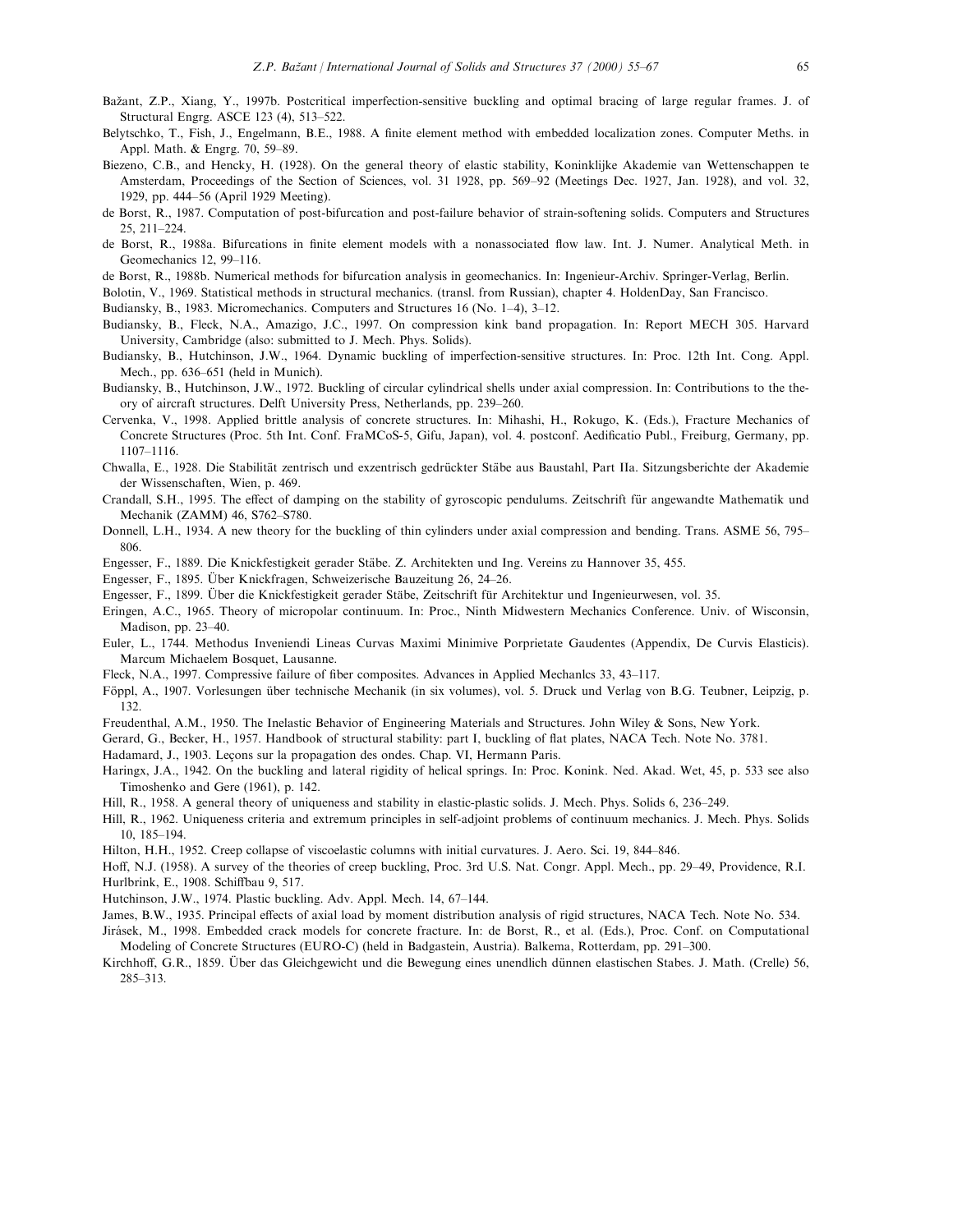- Bažant, Z.P., Xiang, Y., 1997b. Postcritical imperfection-sensitive buckling and optimal bracing of large regular frames. J. of Structural Engrg. ASCE 123 (4), 513-522.
- Belytschko, T., Fish, J., Engelmann, B.E., 1988. A finite element method with embedded localization zones. Computer Meths. in Appl. Math. & Engrg. 70, 59-89.
- Biezeno, C.B., and Hencky, H. (1928). On the general theory of elastic stability, Koninklijke Akademie van Wettenschappen te Amsterdam, Proceedings of the Section of Sciences, vol. 31 1928, pp. 569-92 (Meetings Dec. 1927, Jan. 1928), and vol. 32, 1929, pp. 444-56 (April 1929 Meeting).
- de Borst, R., 1987. Computation of post-bifurcation and post-failure behavior of strain-softening solids. Computers and Structures 25, 211±224.
- de Borst, R., 1988a. Bifurcations in finite element models with a nonassociated flow law. Int. J. Numer. Analytical Meth. in Geomechanics 12, 99-116.
- de Borst, R., 1988b. Numerical methods for bifurcation analysis in geomechanics. In: Ingenieur-Archiv. Springer-Verlag, Berlin.
- Bolotin, V., 1969. Statistical methods in structural mechanics. (transl. from Russian), chapter 4. HoldenDay, San Francisco.
- Budiansky, B., 1983. Micromechanics. Computers and Structures 16 (No. 1–4), 3–12.
- Budiansky, B., Fleck, N.A., Amazigo, J.C., 1997. On compression kink band propagation. In: Report MECH 305. Harvard University, Cambridge (also: submitted to J. Mech. Phys. Solids).
- Budiansky, B., Hutchinson, J.W., 1964. Dynamic buckling of imperfection-sensitive structures. In: Proc. 12th Int. Cong. Appl. Mech., pp. 636–651 (held in Munich).
- Budiansky, B., Hutchinson, J.W., 1972. Buckling of circular cylindrical shells under axial compression. In: Contributions to the theory of aircraft structures. Delft University Press, Netherlands, pp. 239-260.
- Cervenka, V., 1998. Applied brittle analysis of concrete structures. In: Mihashi, H., Rokugo, K. (Eds.), Fracture Mechanics of Concrete Structures (Proc. 5th Int. Conf. FraMCoS-5, Gifu, Japan), vol. 4. postconf. Aedificatio Publ., Freiburg, Germany, pp. 1107±1116.
- Chwalla, E., 1928. Die Stabilität zentrisch und exzentrisch gedrückter Stäbe aus Baustahl, Part IIa. Sitzungsberichte der Akademie der Wissenschaften, Wien, p. 469.
- Crandall, S.H., 1995. The effect of damping on the stability of gyroscopic pendulums. Zeitschrift für angewandte Mathematik und Mechanik (ZAMM) 46, S762-S780.
- Donnell, L.H., 1934. A new theory for the buckling of thin cylinders under axial compression and bending. Trans. ASME 56, 795-806.
- Engesser, F., 1889. Die Knickfestigkeit gerader Stäbe. Z. Architekten und Ing. Vereins zu Hannover 35, 455.
- Engesser, F., 1895. Über Knickfragen, Schweizerische Bauzeitung 26, 24–26.
- Engesser, F., 1899. Über die Knickfestigkeit gerader Stäbe, Zeitschrift für Architektur und Ingenieurwesen, vol. 35.
- Eringen, A.C., 1965. Theory of micropolar continuum. In: Proc., Ninth Midwestern Mechanics Conference. Univ. of Wisconsin, Madison, pp.  $23-40$ .
- Euler, L., 1744. Methodus Inveniendi Lineas Curvas Maximi Minimive Porprietate Gaudentes (Appendix, De Curvis Elasticis). Marcum Michaelem Bosquet, Lausanne.
- Fleck, N.A., 1997. Compressive failure of fiber composites. Advances in Applied Mechanlcs 33, 43–117.
- Föppl, A., 1907. Vorlesungen über technische Mechanik (in six volumes), vol. 5. Druck und Verlag von B.G. Teubner, Leipzig, p. 132.
- Freudenthal, A.M., 1950. The Inelastic Behavior of Engineering Materials and Structures. John Wiley & Sons, New York.
- Gerard, G., Becker, H., 1957. Handbook of structural stability: part I, buckling of flat plates, NACA Tech. Note No. 3781.
- Hadamard, J., 1903. Lecons sur la propagation des ondes. Chap. VI, Hermann Paris.
- Haringx, J.A., 1942. On the buckling and lateral rigidity of helical springs. In: Proc. Konink. Ned. Akad. Wet, 45, p. 533 see also Timoshenko and Gere (1961), p. 142.
- Hill, R., 1958. A general theory of uniqueness and stability in elastic-plastic solids. J. Mech. Phys. Solids 6, 236-249.
- Hill, R., 1962. Uniqueness criteria and extremum principles in self-adjoint problems of continuum mechanics. J. Mech. Phys. Solids 10, 185±194.
- Hilton, H.H., 1952. Creep collapse of viscoelastic columns with initial curvatures. J. Aero. Sci. 19, 844–846.
- Hoff, N.J. (1958). A survey of the theories of creep buckling, Proc. 3rd U.S. Nat. Congr. Appl. Mech., pp. 29–49, Providence, R.I. Hurlbrink, E., 1908. Schiffbau 9, 517.
- Hutchinson, J.W., 1974. Plastic buckling. Adv. Appl. Mech. 14, 67-144.
- James, B.W., 1935. Principal effects of axial load by moment distribution analysis of rigid structures, NACA Tech. Note No. 534.
- Jirásek, M., 1998. Embedded crack models for concrete fracture. In: de Borst, R., et al. (Eds.), Proc. Conf. on Computational Modeling of Concrete Structures (EURO-C) (held in Badgastein, Austria). Balkema, Rotterdam, pp. 291-300.
- Kirchhoff, G.R., 1859. Über das Gleichgewicht und die Bewegung eines unendlich dünnen elastischen Stabes. J. Math. (Crelle) 56, 285±313.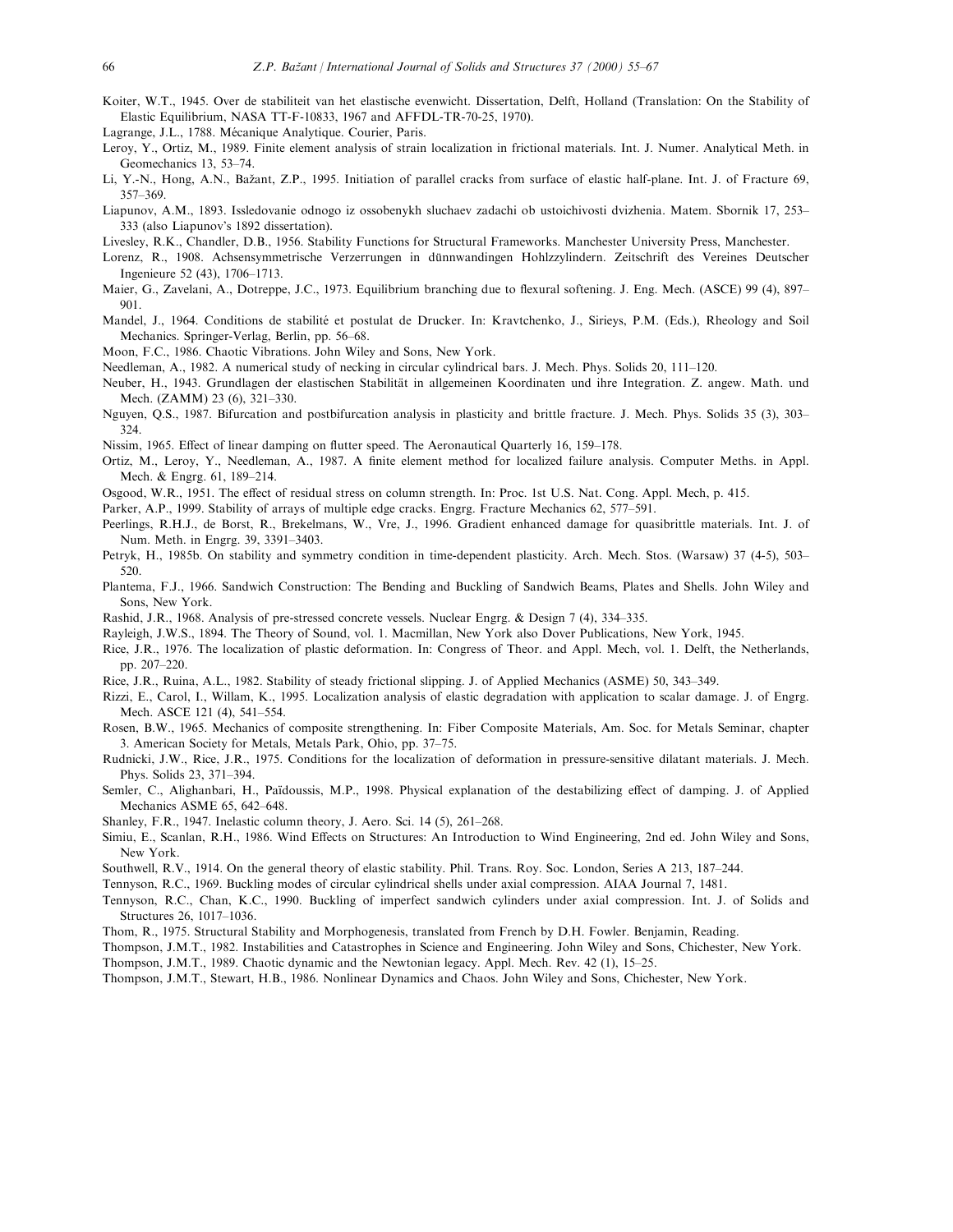Koiter, W.T., 1945. Over de stabiliteit van het elastische evenwicht. Dissertation, Delft, Holland (Translation: On the Stability of Elastic Equilibrium, NASA TT-F-10833, 1967 and AFFDL-TR-70-25, 1970).

Lagrange, J.L., 1788. Mécanique Analytique. Courier, Paris.

- Leroy, Y., Ortiz, M., 1989. Finite element analysis of strain localization in frictional materials. Int. J. Numer. Analytical Meth. in Geomechanics 13, 53-74.
- Li, Y.-N., Hong, A.N., Bažant, Z.P., 1995. Initiation of parallel cracks from surface of elastic half-plane. Int. J. of Fracture 69, 357±369.
- Liapunov, A.M., 1893. Issledovanie odnogo iz ossobenykh sluchaev zadachi ob ustoichivosti dvizhenia. Matem. Sbornik 17, 253-333 (also Liapunov's 1892 dissertation).
- Livesley, R.K., Chandler, D.B., 1956. Stability Functions for Structural Frameworks. Manchester University Press, Manchester.
- Lorenz, R., 1908. Achsensymmetrische Verzerrungen in dünnwandingen Hohlzzylindern. Zeitschrift des Vereines Deutscher Ingenieure 52 (43), 1706-1713.
- Maier, G., Zavelani, A., Dotreppe, J.C., 1973. Equilibrium branching due to flexural softening. J. Eng. Mech. (ASCE) 99 (4), 897-901.
- Mandel, J., 1964. Conditions de stabilité et postulat de Drucker. In: Kravtchenko, J., Sirieys, P.M. (Eds.), Rheology and Soil Mechanics. Springer-Verlag, Berlin, pp. 56–68.
- Moon, F.C., 1986. Chaotic Vibrations. John Wiley and Sons, New York.
- Needleman, A., 1982. A numerical study of necking in circular cylindrical bars. J. Mech. Phys. Solids 20, 111-120.
- Neuber, H., 1943. Grundlagen der elastischen Stabilität in allgemeinen Koordinaten und ihre Integration. Z. angew. Math. und Mech. (ZAMM) 23 (6), 321-330.
- Nguyen, Q.S., 1987. Bifurcation and postbifurcation analysis in plasticity and brittle fracture. J. Mech. Phys. Solids 35 (3), 303± 324.
- Nissim, 1965. Effect of linear damping on flutter speed. The Aeronautical Quarterly 16, 159–178.
- Ortiz, M., Leroy, Y., Needleman, A., 1987. A finite element method for localized failure analysis. Computer Meths. in Appl. Mech. & Engrg. 61, 189-214.
- Osgood, W.R., 1951. The effect of residual stress on column strength. In: Proc. 1st U.S. Nat. Cong. Appl. Mech, p. 415.
- Parker, A.P., 1999. Stability of arrays of multiple edge cracks. Engrg. Fracture Mechanics 62, 577–591.
- Peerlings, R.H.J., de Borst, R., Brekelmans, W., Vre, J., 1996. Gradient enhanced damage for quasibrittle materials. Int. J. of Num. Meth. in Engrg. 39, 3391-3403.
- Petryk, H., 1985b. On stability and symmetry condition in time-dependent plasticity. Arch. Mech. Stos. (Warsaw) 37 (4-5), 503-520.
- Plantema, F.J., 1966. Sandwich Construction: The Bending and Buckling of Sandwich Beams, Plates and Shells. John Wiley and Sons, New York.
- Rashid, J.R., 1968. Analysis of pre-stressed concrete vessels. Nuclear Engrg. & Design 7 (4), 334–335.
- Rayleigh, J.W.S., 1894. The Theory of Sound, vol. 1. Macmillan, New York also Dover Publications, New York, 1945.
- Rice, J.R., 1976. The localization of plastic deformation. In: Congress of Theor. and Appl. Mech, vol. 1. Delft, the Netherlands, pp. 207-220.
- Rice, J.R., Ruina, A.L., 1982. Stability of steady frictional slipping. J. of Applied Mechanics (ASME) 50, 343–349.
- Rizzi, E., Carol, I., Willam, K., 1995. Localization analysis of elastic degradation with application to scalar damage. J. of Engrg. Mech. ASCE 121 (4), 541–554.
- Rosen, B.W., 1965. Mechanics of composite strengthening. In: Fiber Composite Materials, Am. Soc. for Metals Seminar, chapter 3. American Society for Metals, Metals Park, Ohio, pp. 37-75.
- Rudnicki, J.W., Rice, J.R., 1975. Conditions for the localization of deformation in pressure-sensitive dilatant materials. J. Mech. Phys. Solids 23, 371-394.
- Semler, C., Alighanbari, H., Païdoussis, M.P., 1998. Physical explanation of the destabilizing effect of damping. J. of Applied Mechanics ASME 65, 642-648.
- Shanley, F.R., 1947. Inelastic column theory, J. Aero. Sci. 14 (5), 261-268.
- Simiu, E., Scanlan, R.H., 1986. Wind Effects on Structures: An Introduction to Wind Engineering, 2nd ed. John Wiley and Sons, New York.
- Southwell, R.V., 1914. On the general theory of elastic stability. Phil. Trans. Roy. Soc. London, Series A 213, 187-244.
- Tennyson, R.C., 1969. Buckling modes of circular cylindrical shells under axial compression. AIAA Journal 7, 1481.
- Tennyson, R.C., Chan, K.C., 1990. Buckling of imperfect sandwich cylinders under axial compression. Int. J. of Solids and Structures 26, 1017-1036.
- Thom, R., 1975. Structural Stability and Morphogenesis, translated from French by D.H. Fowler. Benjamin, Reading.
- Thompson, J.M.T., 1982. Instabilities and Catastrophes in Science and Engineering. John Wiley and Sons, Chichester, New York.
- Thompson, J.M.T., 1989. Chaotic dynamic and the Newtonian legacy. Appl. Mech. Rev. 42 (1), 15–25.
- Thompson, J.M.T., Stewart, H.B., 1986. Nonlinear Dynamics and Chaos. John Wiley and Sons, Chichester, New York.